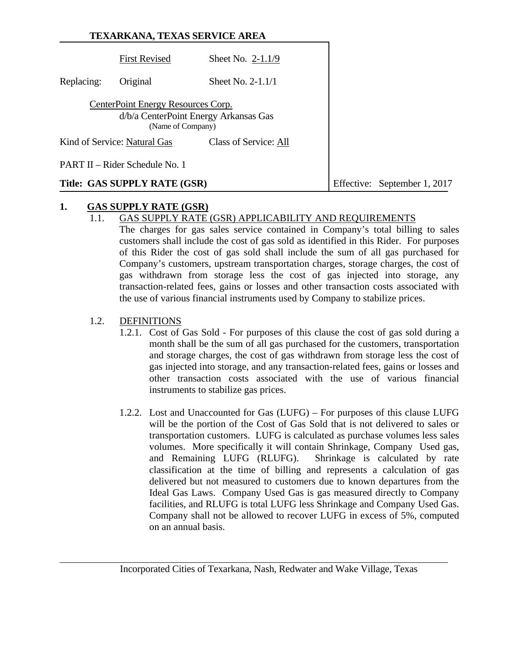|            | TEXARKANA, TEXAS SERVICE AREA                           |                                       |  |                              |
|------------|---------------------------------------------------------|---------------------------------------|--|------------------------------|
|            | <b>First Revised</b>                                    | Sheet No. $2-1.1/9$                   |  |                              |
| Replacing: | Original                                                | Sheet No. 2-1.1/1                     |  |                              |
|            | CenterPoint Energy Resources Corp.<br>(Name of Company) | d/b/a CenterPoint Energy Arkansas Gas |  |                              |
|            | Kind of Service: Natural Gas                            | Class of Service: All                 |  |                              |
|            | PART II – Rider Schedule No. 1                          |                                       |  |                              |
|            | Title: GAS SUPPLY RATE (GSR)                            |                                       |  | Effective: September 1, 2017 |

### **1. GAS SUPPLY RATE (GSR)**

# 1.1. GAS SUPPLY RATE (GSR) APPLICABILITY AND REQUIREMENTS

The charges for gas sales service contained in Company's total billing to sales customers shall include the cost of gas sold as identified in this Rider. For purposes of this Rider the cost of gas sold shall include the sum of all gas purchased for Company's customers, upstream transportation charges, storage charges, the cost of gas withdrawn from storage less the cost of gas injected into storage, any transaction-related fees, gains or losses and other transaction costs associated with the use of various financial instruments used by Company to stabilize prices.

# 1.2. DEFINITIONS

- 1.2.1. Cost of Gas Sold For purposes of this clause the cost of gas sold during a month shall be the sum of all gas purchased for the customers, transportation and storage charges, the cost of gas withdrawn from storage less the cost of gas injected into storage, and any transaction-related fees, gains or losses and other transaction costs associated with the use of various financial instruments to stabilize gas prices.
- 1.2.2. Lost and Unaccounted for Gas (LUFG) For purposes of this clause LUFG will be the portion of the Cost of Gas Sold that is not delivered to sales or transportation customers. LUFG is calculated as purchase volumes less sales volumes. More specifically it will contain Shrinkage, Company Used gas, and Remaining LUFG (RLUFG). Shrinkage is calculated by rate classification at the time of billing and represents a calculation of gas delivered but not measured to customers due to known departures from the Ideal Gas Laws. Company Used Gas is gas measured directly to Company facilities, and RLUFG is total LUFG less Shrinkage and Company Used Gas. Company shall not be allowed to recover LUFG in excess of 5%, computed on an annual basis.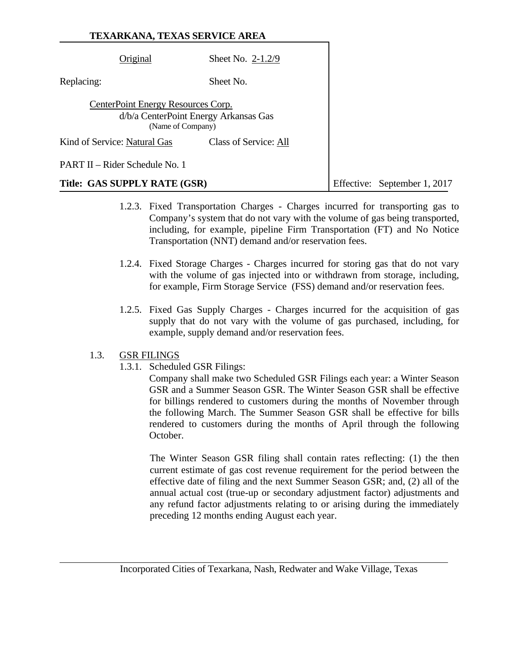| TEXARKANA, TEXAS SERVICE AREA                           |                                       |  |                              |
|---------------------------------------------------------|---------------------------------------|--|------------------------------|
| Original                                                | Sheet No. $2-1.2/9$                   |  |                              |
| Replacing:                                              | Sheet No.                             |  |                              |
| CenterPoint Energy Resources Corp.<br>(Name of Company) | d/b/a CenterPoint Energy Arkansas Gas |  |                              |
| Kind of Service: Natural Gas                            | Class of Service: All                 |  |                              |
| PART II – Rider Schedule No. 1                          |                                       |  |                              |
| Title: GAS SUPPLY RATE (GSR)                            |                                       |  | Effective: September 1, 2017 |

- 1.2.3. Fixed Transportation Charges Charges incurred for transporting gas to Company's system that do not vary with the volume of gas being transported, including, for example, pipeline Firm Transportation (FT) and No Notice Transportation (NNT) demand and/or reservation fees.
- 1.2.4. Fixed Storage Charges Charges incurred for storing gas that do not vary with the volume of gas injected into or withdrawn from storage, including, for example, Firm Storage Service (FSS) demand and/or reservation fees.
- 1.2.5. Fixed Gas Supply Charges Charges incurred for the acquisition of gas supply that do not vary with the volume of gas purchased, including, for example, supply demand and/or reservation fees.

## 1.3. GSR FILINGS

1.3.1. Scheduled GSR Filings:

Company shall make two Scheduled GSR Filings each year: a Winter Season GSR and a Summer Season GSR. The Winter Season GSR shall be effective for billings rendered to customers during the months of November through the following March. The Summer Season GSR shall be effective for bills rendered to customers during the months of April through the following October.

The Winter Season GSR filing shall contain rates reflecting: (1) the then current estimate of gas cost revenue requirement for the period between the effective date of filing and the next Summer Season GSR; and, (2) all of the annual actual cost (true-up or secondary adjustment factor) adjustments and any refund factor adjustments relating to or arising during the immediately preceding 12 months ending August each year.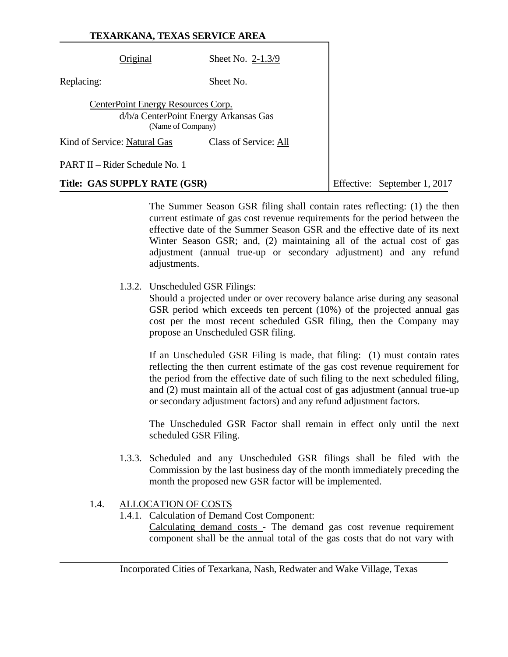|            | Original                                                                                         | Sheet No. $2-1.3/9$   |                              |
|------------|--------------------------------------------------------------------------------------------------|-----------------------|------------------------------|
| Replacing: |                                                                                                  | Sheet No.             |                              |
|            | CenterPoint Energy Resources Corp.<br>d/b/a CenterPoint Energy Arkansas Gas<br>(Name of Company) |                       |                              |
|            | Kind of Service: Natural Gas                                                                     | Class of Service: All |                              |
|            | PART II – Rider Schedule No. 1                                                                   |                       |                              |
|            | Title: GAS SUPPLY RATE (GSR)                                                                     |                       | Effective: September 1, 2017 |

 The Summer Season GSR filing shall contain rates reflecting: (1) the then current estimate of gas cost revenue requirements for the period between the effective date of the Summer Season GSR and the effective date of its next Winter Season GSR; and, (2) maintaining all of the actual cost of gas adjustment (annual true-up or secondary adjustment) and any refund adjustments.

1.3.2. Unscheduled GSR Filings:

Should a projected under or over recovery balance arise during any seasonal GSR period which exceeds ten percent (10%) of the projected annual gas cost per the most recent scheduled GSR filing, then the Company may propose an Unscheduled GSR filing.

If an Unscheduled GSR Filing is made, that filing: (1) must contain rates reflecting the then current estimate of the gas cost revenue requirement for the period from the effective date of such filing to the next scheduled filing, and (2) must maintain all of the actual cost of gas adjustment (annual true-up or secondary adjustment factors) and any refund adjustment factors.

The Unscheduled GSR Factor shall remain in effect only until the next scheduled GSR Filing.

 1.3.3. Scheduled and any Unscheduled GSR filings shall be filed with the Commission by the last business day of the month immediately preceding the month the proposed new GSR factor will be implemented.

## 1.4. ALLOCATION OF COSTS

1.4.1. Calculation of Demand Cost Component:

Calculating demand costs - The demand gas cost revenue requirement component shall be the annual total of the gas costs that do not vary with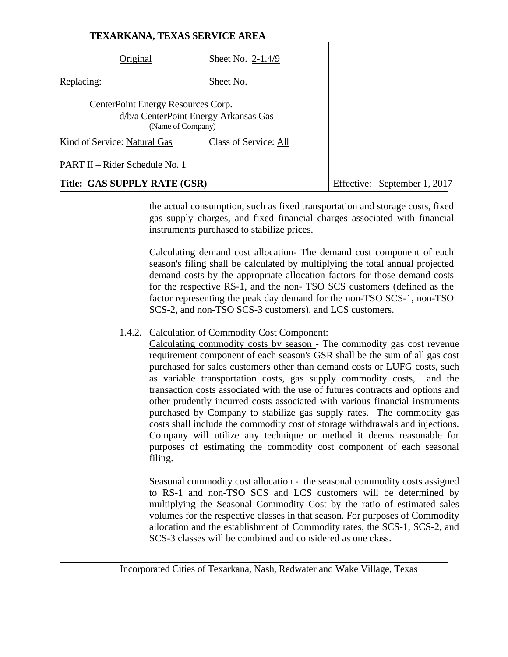| TEXARKANA, TEXAS SERVICE AREA                                                                    |                       |                              |
|--------------------------------------------------------------------------------------------------|-----------------------|------------------------------|
| Original                                                                                         | Sheet No. 2-1.4/9     |                              |
| Replacing:                                                                                       | Sheet No.             |                              |
| CenterPoint Energy Resources Corp.<br>d/b/a CenterPoint Energy Arkansas Gas<br>(Name of Company) |                       |                              |
| Kind of Service: Natural Gas                                                                     | Class of Service: All |                              |
| PART II – Rider Schedule No. 1                                                                   |                       |                              |
| Title: GAS SUPPLY RATE (GSR)                                                                     |                       | Effective: September 1, 2017 |

the actual consumption, such as fixed transportation and storage costs, fixed gas supply charges, and fixed financial charges associated with financial instruments purchased to stabilize prices.

Calculating demand cost allocation- The demand cost component of each season's filing shall be calculated by multiplying the total annual projected demand costs by the appropriate allocation factors for those demand costs for the respective RS-1, and the non- TSO SCS customers (defined as the factor representing the peak day demand for the non-TSO SCS-1, non-TSO SCS-2, and non-TSO SCS-3 customers), and LCS customers.

#### 1.4.2. Calculation of Commodity Cost Component:

Calculating commodity costs by season - The commodity gas cost revenue requirement component of each season's GSR shall be the sum of all gas cost purchased for sales customers other than demand costs or LUFG costs, such as variable transportation costs, gas supply commodity costs, and the transaction costs associated with the use of futures contracts and options and other prudently incurred costs associated with various financial instruments purchased by Company to stabilize gas supply rates. The commodity gas costs shall include the commodity cost of storage withdrawals and injections. Company will utilize any technique or method it deems reasonable for purposes of estimating the commodity cost component of each seasonal filing.

Seasonal commodity cost allocation - the seasonal commodity costs assigned to RS-1 and non-TSO SCS and LCS customers will be determined by multiplying the Seasonal Commodity Cost by the ratio of estimated sales volumes for the respective classes in that season. For purposes of Commodity allocation and the establishment of Commodity rates, the SCS-1, SCS-2, and SCS-3 classes will be combined and considered as one class.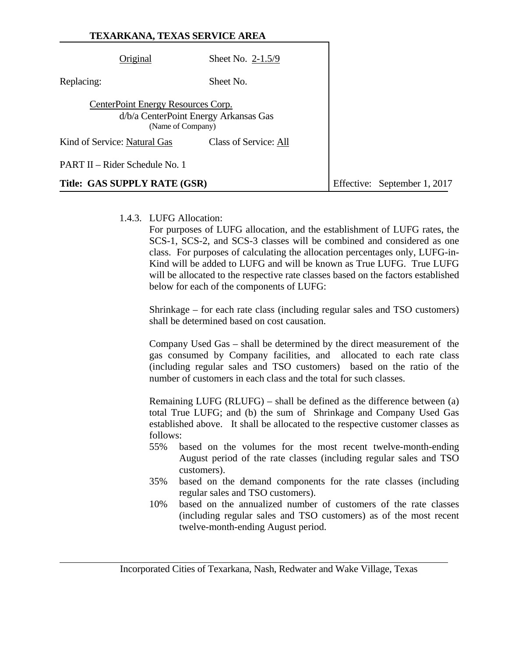|                                    | TEXARKANA, TEXAS SERVICE AREA                              |  |                              |
|------------------------------------|------------------------------------------------------------|--|------------------------------|
| Original                           | Sheet No. $2-1.5/9$                                        |  |                              |
| Replacing:                         | Sheet No.                                                  |  |                              |
| CenterPoint Energy Resources Corp. | d/b/a CenterPoint Energy Arkansas Gas<br>(Name of Company) |  |                              |
| Kind of Service: Natural Gas       | Class of Service: All                                      |  |                              |
| PART II – Rider Schedule No. 1     |                                                            |  |                              |
| Title: GAS SUPPLY RATE (GSR)       |                                                            |  | Effective: September 1, 2017 |

1.4.3. LUFG Allocation:

For purposes of LUFG allocation, and the establishment of LUFG rates, the SCS-1, SCS-2, and SCS-3 classes will be combined and considered as one class. For purposes of calculating the allocation percentages only, LUFG-in-Kind will be added to LUFG and will be known as True LUFG. True LUFG will be allocated to the respective rate classes based on the factors established below for each of the components of LUFG:

Shrinkage – for each rate class (including regular sales and TSO customers) shall be determined based on cost causation.

Company Used Gas – shall be determined by the direct measurement of the gas consumed by Company facilities, and allocated to each rate class (including regular sales and TSO customers) based on the ratio of the number of customers in each class and the total for such classes.

Remaining LUFG (RLUFG) – shall be defined as the difference between (a) total True LUFG; and (b) the sum of Shrinkage and Company Used Gas established above. It shall be allocated to the respective customer classes as follows:

- 55% based on the volumes for the most recent twelve-month-ending August period of the rate classes (including regular sales and TSO customers).
- 35% based on the demand components for the rate classes (including regular sales and TSO customers).
- 10% based on the annualized number of customers of the rate classes (including regular sales and TSO customers) as of the most recent twelve-month-ending August period.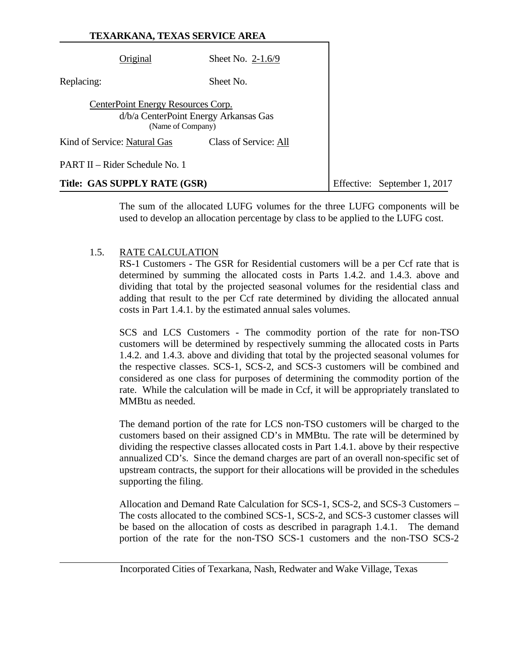|                                                                                                  | Original                       | Sheet No. $2-1.6/9$ |                              |
|--------------------------------------------------------------------------------------------------|--------------------------------|---------------------|------------------------------|
| Replacing:                                                                                       |                                | Sheet No.           |                              |
| CenterPoint Energy Resources Corp.<br>d/b/a CenterPoint Energy Arkansas Gas<br>(Name of Company) |                                |                     |                              |
| Kind of Service: Natural Gas<br>Class of Service: All                                            |                                |                     |                              |
|                                                                                                  | PART II – Rider Schedule No. 1 |                     |                              |
|                                                                                                  | Title: GAS SUPPLY RATE (GSR)   |                     | Effective: September 1, 2017 |

The sum of the allocated LUFG volumes for the three LUFG components will be used to develop an allocation percentage by class to be applied to the LUFG cost.

#### 1.5. RATE CALCULATION

 RS-1 Customers - The GSR for Residential customers will be a per Ccf rate that is determined by summing the allocated costs in Parts 1.4.2. and 1.4.3. above and dividing that total by the projected seasonal volumes for the residential class and adding that result to the per Ccf rate determined by dividing the allocated annual costs in Part 1.4.1. by the estimated annual sales volumes.

 SCS and LCS Customers - The commodity portion of the rate for non-TSO customers will be determined by respectively summing the allocated costs in Parts 1.4.2. and 1.4.3. above and dividing that total by the projected seasonal volumes for the respective classes. SCS-1, SCS-2, and SCS-3 customers will be combined and considered as one class for purposes of determining the commodity portion of the rate. While the calculation will be made in Ccf, it will be appropriately translated to MMBtu as needed.

 The demand portion of the rate for LCS non-TSO customers will be charged to the customers based on their assigned CD's in MMBtu. The rate will be determined by dividing the respective classes allocated costs in Part 1.4.1. above by their respective annualized CD's. Since the demand charges are part of an overall non-specific set of upstream contracts, the support for their allocations will be provided in the schedules supporting the filing.

 Allocation and Demand Rate Calculation for SCS-1, SCS-2, and SCS-3 Customers – The costs allocated to the combined SCS-1, SCS-2, and SCS-3 customer classes will be based on the allocation of costs as described in paragraph 1.4.1. The demand portion of the rate for the non-TSO SCS-1 customers and the non-TSO SCS-2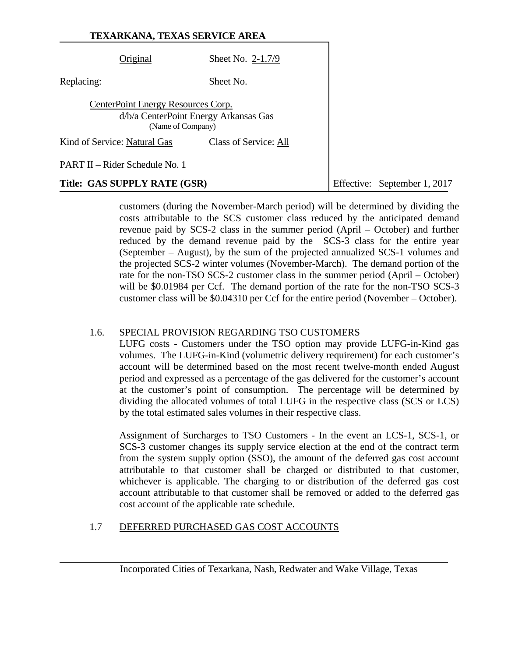|                                    | TEXARKANA, TEXAS SERVICE AREA                              |                              |
|------------------------------------|------------------------------------------------------------|------------------------------|
| Original                           | Sheet No. 2-1.7/9                                          |                              |
| Replacing:                         | Sheet No.                                                  |                              |
| CenterPoint Energy Resources Corp. | d/b/a CenterPoint Energy Arkansas Gas<br>(Name of Company) |                              |
| Kind of Service: Natural Gas       | Class of Service: All                                      |                              |
| PART II – Rider Schedule No. 1     |                                                            |                              |
| Title: GAS SUPPLY RATE (GSR)       |                                                            | Effective: September 1, 2017 |

customers (during the November-March period) will be determined by dividing the costs attributable to the SCS customer class reduced by the anticipated demand revenue paid by SCS-2 class in the summer period (April – October) and further reduced by the demand revenue paid by the SCS-3 class for the entire year (September – August), by the sum of the projected annualized SCS-1 volumes and the projected SCS-2 winter volumes (November-March). The demand portion of the rate for the non-TSO SCS-2 customer class in the summer period (April – October) will be \$0.01984 per Ccf. The demand portion of the rate for the non-TSO SCS-3 customer class will be \$0.04310 per Ccf for the entire period (November – October).

#### 1.6. SPECIAL PROVISION REGARDING TSO CUSTOMERS

 LUFG costs - Customers under the TSO option may provide LUFG-in-Kind gas volumes. The LUFG-in-Kind (volumetric delivery requirement) for each customer's account will be determined based on the most recent twelve-month ended August period and expressed as a percentage of the gas delivered for the customer's account at the customer's point of consumption. The percentage will be determined by dividing the allocated volumes of total LUFG in the respective class (SCS or LCS) by the total estimated sales volumes in their respective class.

 Assignment of Surcharges to TSO Customers - In the event an LCS-1, SCS-1, or SCS-3 customer changes its supply service election at the end of the contract term from the system supply option (SSO), the amount of the deferred gas cost account attributable to that customer shall be charged or distributed to that customer, whichever is applicable. The charging to or distribution of the deferred gas cost account attributable to that customer shall be removed or added to the deferred gas cost account of the applicable rate schedule.

## 1.7 DEFERRED PURCHASED GAS COST ACCOUNTS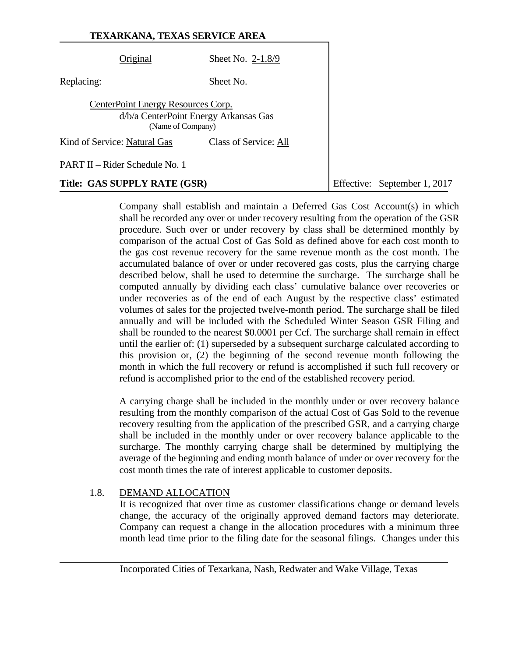|                                    | TEXARKANA, TEXAS SERVICE AREA                              |                              |
|------------------------------------|------------------------------------------------------------|------------------------------|
| Original                           | Sheet No. $2-1.8/9$                                        |                              |
| Replacing:                         | Sheet No.                                                  |                              |
| CenterPoint Energy Resources Corp. | d/b/a CenterPoint Energy Arkansas Gas<br>(Name of Company) |                              |
| Kind of Service: Natural Gas       | Class of Service: All                                      |                              |
| PART II – Rider Schedule No. 1     |                                                            |                              |
| Title: GAS SUPPLY RATE (GSR)       |                                                            | Effective: September 1, 2017 |

Company shall establish and maintain a Deferred Gas Cost Account(s) in which shall be recorded any over or under recovery resulting from the operation of the GSR procedure. Such over or under recovery by class shall be determined monthly by comparison of the actual Cost of Gas Sold as defined above for each cost month to the gas cost revenue recovery for the same revenue month as the cost month. The accumulated balance of over or under recovered gas costs, plus the carrying charge described below, shall be used to determine the surcharge. The surcharge shall be computed annually by dividing each class' cumulative balance over recoveries or under recoveries as of the end of each August by the respective class' estimated volumes of sales for the projected twelve-month period. The surcharge shall be filed annually and will be included with the Scheduled Winter Season GSR Filing and shall be rounded to the nearest \$0.0001 per Ccf. The surcharge shall remain in effect until the earlier of: (1) superseded by a subsequent surcharge calculated according to this provision or, (2) the beginning of the second revenue month following the month in which the full recovery or refund is accomplished if such full recovery or refund is accomplished prior to the end of the established recovery period.

A carrying charge shall be included in the monthly under or over recovery balance resulting from the monthly comparison of the actual Cost of Gas Sold to the revenue recovery resulting from the application of the prescribed GSR, and a carrying charge shall be included in the monthly under or over recovery balance applicable to the surcharge. The monthly carrying charge shall be determined by multiplying the average of the beginning and ending month balance of under or over recovery for the cost month times the rate of interest applicable to customer deposits.

### 1.8. DEMAND ALLOCATION

 It is recognized that over time as customer classifications change or demand levels change, the accuracy of the originally approved demand factors may deteriorate. Company can request a change in the allocation procedures with a minimum three month lead time prior to the filing date for the seasonal filings. Changes under this